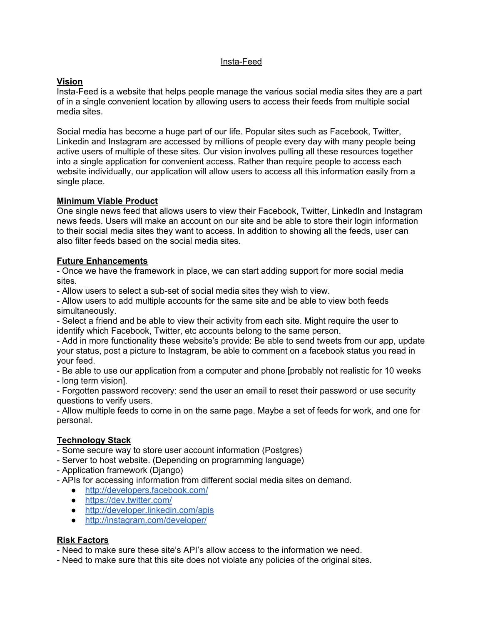#### Insta-Feed

## **Vision**

Insta-Feed is a website that helps people manage the various social media sites they are a part of in a single convenient location by allowing users to access their feeds from multiple social media sites.

Social media has become a huge part of our life. Popular sites such as Facebook, Twitter, Linkedin and Instagram are accessed by millions of people every day with many people being active users of multiple of these sites. Our vision involves pulling all these resources together into a single application for convenient access. Rather than require people to access each website individually, our application will allow users to access all this information easily from a single place.

### **Minimum Viable Product**

One single news feed that allows users to view their Facebook, Twitter, LinkedIn and Instagram news feeds. Users will make an account on our site and be able to store their login information to their social media sites they want to access. In addition to showing all the feeds, user can also filter feeds based on the social media sites.

### **Future Enhancements**

- Once we have the framework in place, we can start adding support for more social media sites.

- Allow users to select a sub-set of social media sites they wish to view.

- Allow users to add multiple accounts for the same site and be able to view both feeds simultaneously.

- Select a friend and be able to view their activity from each site. Might require the user to identify which Facebook, Twitter, etc accounts belong to the same person.

- Add in more functionality these website's provide: Be able to send tweets from our app, update your status, post a picture to Instagram, be able to comment on a facebook status you read in your feed.

- Be able to use our application from a computer and phone [probably not realistic for 10 weeks

- long term vision].

- Forgotten password recovery: send the user an email to reset their password or use security questions to verify users.

- Allow multiple feeds to come in on the same page. Maybe a set of feeds for work, and one for personal.

# **Technology Stack**

- Some secure way to store user account information (Postgres)

- Server to host website. (Depending on programming language)

- Application framework (Django)

- APIs for accessing information from different social media sites on demand.

- **●** <http://developers.facebook.com/>
- **●** <https://dev.twitter.com/>
- **●** <http://developer.linkedin.com/apis>
- **●** <http://instagram.com/developer/>

### **Risk Factors**

- Need to make sure these site's API's allow access to the information we need.

- Need to make sure that this site does not violate any policies of the original sites.